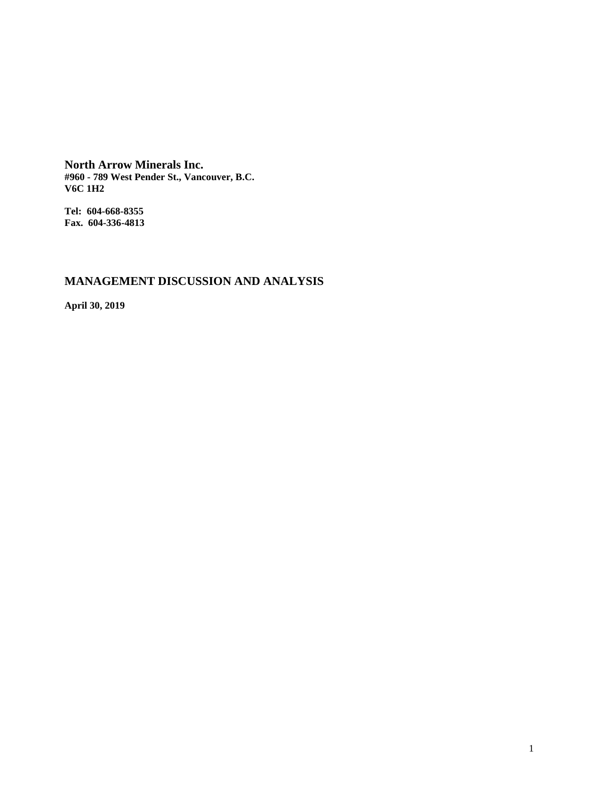**North Arrow Minerals Inc. #960 - 789 West Pender St., Vancouver, B.C. V6C 1H2**

**Tel: 604-668-8355 Fax. 604-336-4813**

# **MANAGEMENT DISCUSSION AND ANALYSIS**

**April 30, 2019**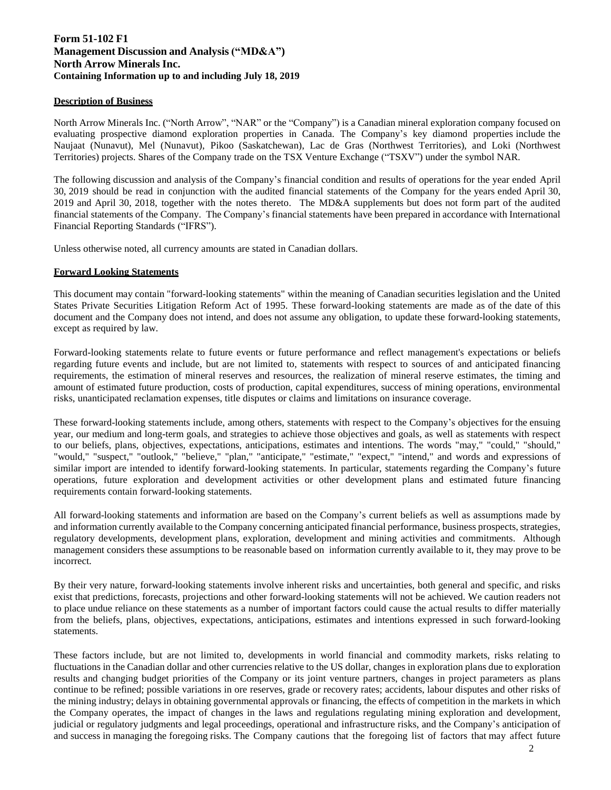# **Form 51-102 F1 Management Discussion and Analysis ("MD&A") North Arrow Minerals Inc. Containing Information up to and including July 18, 2019**

# **Description of Business**

North Arrow Minerals Inc. ("North Arrow", "NAR" or the "Company") is a Canadian mineral exploration company focused on evaluating prospective diamond exploration properties in Canada. The Company's key diamond properties include the Naujaat (Nunavut), Mel (Nunavut), Pikoo (Saskatchewan), Lac de Gras (Northwest Territories), and Loki (Northwest Territories) projects. Shares of the Company trade on the TSX Venture Exchange ("TSXV") under the symbol NAR.

The following discussion and analysis of the Company's financial condition and results of operations for the year ended April 30, 2019 should be read in conjunction with the audited financial statements of the Company for the years ended April 30, 2019 and April 30, 2018, together with the notes thereto. The MD&A supplements but does not form part of the audited financial statements of the Company. The Company's financial statements have been prepared in accordance with International Financial Reporting Standards ("IFRS").

Unless otherwise noted, all currency amounts are stated in Canadian dollars.

### **Forward Looking Statements**

This document may contain "forward-looking statements" within the meaning of Canadian securities legislation and the United States Private Securities Litigation Reform Act of 1995. These forward-looking statements are made as of the date of this document and the Company does not intend, and does not assume any obligation, to update these forward-looking statements, except as required by law.

Forward-looking statements relate to future events or future performance and reflect management's expectations or beliefs regarding future events and include, but are not limited to, statements with respect to sources of and anticipated financing requirements, the estimation of mineral reserves and resources, the realization of mineral reserve estimates, the timing and amount of estimated future production, costs of production, capital expenditures, success of mining operations, environmental risks, unanticipated reclamation expenses, title disputes or claims and limitations on insurance coverage.

These forward-looking statements include, among others, statements with respect to the Company's objectives for the ensuing year, our medium and long-term goals, and strategies to achieve those objectives and goals, as well as statements with respect to our beliefs, plans, objectives, expectations, anticipations, estimates and intentions. The words "may," "could," "should," "would," "suspect," "outlook," "believe," "plan," "anticipate," "estimate," "expect," "intend," and words and expressions of similar import are intended to identify forward-looking statements. In particular, statements regarding the Company's future operations, future exploration and development activities or other development plans and estimated future financing requirements contain forward-looking statements.

All forward-looking statements and information are based on the Company's current beliefs as well as assumptions made by and information currently available to the Company concerning anticipated financial performance, business prospects, strategies, regulatory developments, development plans, exploration, development and mining activities and commitments. Although management considers these assumptions to be reasonable based on information currently available to it, they may prove to be incorrect.

By their very nature, forward-looking statements involve inherent risks and uncertainties, both general and specific, and risks exist that predictions, forecasts, projections and other forward-looking statements will not be achieved. We caution readers not to place undue reliance on these statements as a number of important factors could cause the actual results to differ materially from the beliefs, plans, objectives, expectations, anticipations, estimates and intentions expressed in such forward-looking statements.

These factors include, but are not limited to, developments in world financial and commodity markets, risks relating to fluctuations in the Canadian dollar and other currencies relative to the US dollar, changes in exploration plans due to exploration results and changing budget priorities of the Company or its joint venture partners, changes in project parameters as plans continue to be refined; possible variations in ore reserves, grade or recovery rates; accidents, labour disputes and other risks of the mining industry; delays in obtaining governmental approvals or financing, the effects of competition in the markets in which the Company operates, the impact of changes in the laws and regulations regulating mining exploration and development, judicial or regulatory judgments and legal proceedings, operational and infrastructure risks, and the Company's anticipation of and success in managing the foregoing risks. The Company cautions that the foregoing list of factors that may affect future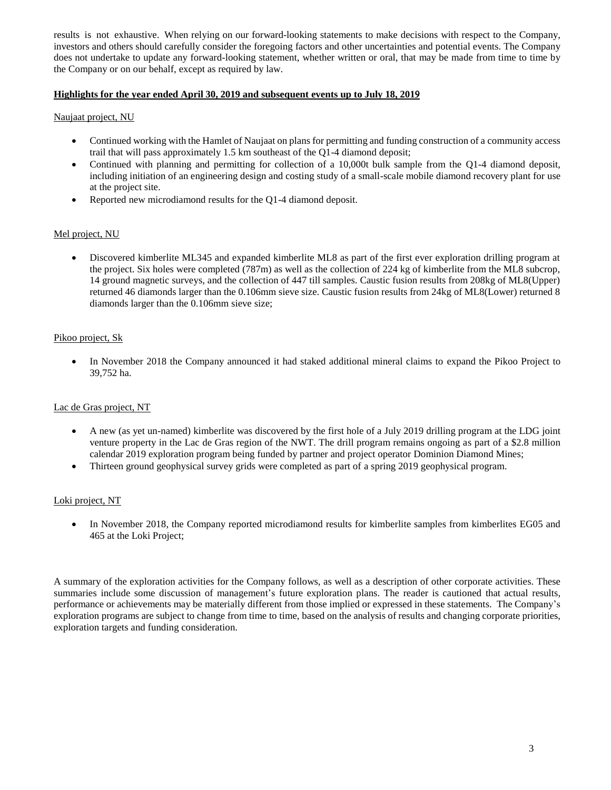results is not exhaustive. When relying on our forward-looking statements to make decisions with respect to the Company, investors and others should carefully consider the foregoing factors and other uncertainties and potential events. The Company does not undertake to update any forward-looking statement, whether written or oral, that may be made from time to time by the Company or on our behalf, except as required by law.

# **Highlights for the year ended April 30, 2019 and subsequent events up to July 18, 201**

# Naujaat project, NU

- Continued working with the Hamlet of Naujaat on plans for permitting and funding construction of a community access trail that will pass approximately 1.5 km southeast of the Q1-4 diamond deposit;
- Continued with planning and permitting for collection of a 10,000t bulk sample from the Q1-4 diamond deposit, including initiation of an engineering design and costing study of a small-scale mobile diamond recovery plant for use at the project site.
- Reported new microdiamond results for the Q1-4 diamond deposit.

#### Mel project, NU

• Discovered kimberlite ML345 and expanded kimberlite ML8 as part of the first ever exploration drilling program at the project. Six holes were completed (787m) as well as the collection of 224 kg of kimberlite from the ML8 subcrop, 14 ground magnetic surveys, and the collection of 447 till samples. Caustic fusion results from 208kg of ML8(Upper) returned 46 diamonds larger than the 0.106mm sieve size. Caustic fusion results from 24kg of ML8(Lower) returned 8 diamonds larger than the 0.106mm sieve size;

### Pikoo project, Sk

• In November 2018 the Company announced it had staked additional mineral claims to expand the Pikoo Project to 39,752 ha.

#### Lac de Gras project, NT

- A new (as yet un-named) kimberlite was discovered by the first hole of a July 2019 drilling program at the LDG joint venture property in the Lac de Gras region of the NWT. The drill program remains ongoing as part of a \$2.8 million calendar 2019 exploration program being funded by partner and project operator Dominion Diamond Mines;
- Thirteen ground geophysical survey grids were completed as part of a spring 2019 geophysical program.

# Loki project, NT

• In November 2018, the Company reported microdiamond results for kimberlite samples from kimberlites EG05 and 465 at the Loki Project;

A summary of the exploration activities for the Company follows, as well as a description of other corporate activities. These summaries include some discussion of management's future exploration plans. The reader is cautioned that actual results, performance or achievements may be materially different from those implied or expressed in these statements. The Company's exploration programs are subject to change from time to time, based on the analysis of results and changing corporate priorities, exploration targets and funding consideration.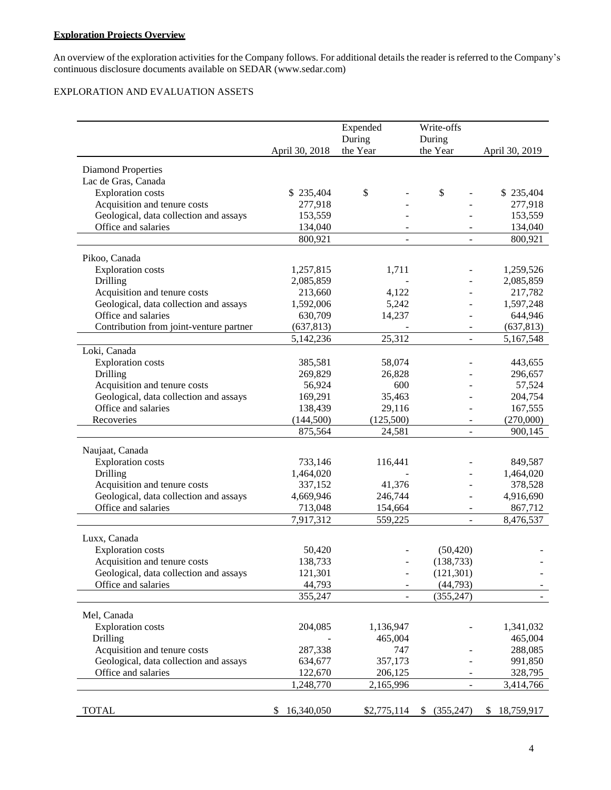# **Exploration Projects Overview**

An overview of the exploration activities for the Company follows. For additional details the reader is referred to the Company's continuous disclosure documents available on [SEDAR \(www.sedar.com](http://www.sedar.com/))

# EXPLORATION AND EVALUATION ASSETS

|                                          |                  | Expended    | Write-offs               |                  |
|------------------------------------------|------------------|-------------|--------------------------|------------------|
|                                          |                  | During      | During                   |                  |
|                                          | April 30, 2018   | the Year    | the Year                 | April 30, 2019   |
| <b>Diamond Properties</b>                |                  |             |                          |                  |
| Lac de Gras, Canada                      |                  |             |                          |                  |
| <b>Exploration</b> costs                 | \$235,404        | \$          | \$                       | \$235,404        |
| Acquisition and tenure costs             | 277,918          |             |                          | 277,918          |
| Geological, data collection and assays   | 153,559          |             |                          | 153,559          |
| Office and salaries                      | 134,040          |             |                          | 134,040          |
|                                          | 800,921          |             |                          | 800,921          |
| Pikoo, Canada                            |                  |             |                          |                  |
| <b>Exploration</b> costs                 | 1,257,815        | 1,711       |                          | 1,259,526        |
| Drilling                                 | 2,085,859        |             |                          | 2,085,859        |
| Acquisition and tenure costs             | 213,660          | 4,122       |                          | 217,782          |
| Geological, data collection and assays   | 1,592,006        | 5,242       |                          | 1,597,248        |
| Office and salaries                      | 630,709          | 14,237      |                          | 644,946          |
| Contribution from joint-venture partner  | (637, 813)       |             |                          | (637, 813)       |
|                                          | 5,142,236        | 25,312      |                          | 5,167,548        |
| Loki, Canada                             |                  |             |                          |                  |
| <b>Exploration</b> costs                 | 385,581          | 58,074      |                          | 443,655          |
| Drilling                                 | 269,829          | 26,828      |                          | 296,657          |
| Acquisition and tenure costs             | 56,924           | 600         |                          | 57,524           |
| Geological, data collection and assays   | 169,291          | 35,463      |                          | 204,754          |
| Office and salaries                      | 138,439          | 29,116      |                          | 167,555          |
| Recoveries                               | (144,500)        | (125,500)   |                          | (270,000)        |
|                                          | 875,564          | 24,581      | $\overline{\phantom{a}}$ | 900,145          |
| Naujaat, Canada                          |                  |             |                          |                  |
| Exploration costs                        | 733,146          | 116,441     |                          | 849,587          |
| Drilling                                 | 1,464,020        |             |                          | 1,464,020        |
| Acquisition and tenure costs             | 337,152          | 41,376      |                          | 378,528          |
| Geological, data collection and assays   | 4,669,946        | 246,744     |                          | 4,916,690        |
| Office and salaries                      | 713,048          | 154,664     | $\overline{\phantom{a}}$ | 867,712          |
|                                          | 7,917,312        | 559,225     | $\overline{\phantom{a}}$ | 8,476,537        |
|                                          |                  |             |                          |                  |
| Luxx, Canada<br><b>Exploration</b> costs | 50,420           |             | (50, 420)                |                  |
| Acquisition and tenure costs             | 138,733          |             | (138, 733)               |                  |
| Geological, data collection and assays   | 121,301          |             | (121, 301)               |                  |
| Office and salaries                      | 44,793           |             | (44, 793)                |                  |
|                                          | 355,247          |             | (355, 247)               |                  |
|                                          |                  |             |                          |                  |
| Mel, Canada                              |                  |             |                          |                  |
| <b>Exploration</b> costs                 | 204,085          | 1,136,947   |                          | 1,341,032        |
| Drilling                                 |                  | 465,004     |                          | 465,004          |
| Acquisition and tenure costs             | 287,338          | 747         |                          | 288,085          |
| Geological, data collection and assays   | 634,677          | 357,173     |                          | 991,850          |
| Office and salaries                      | 122,670          | 206,125     |                          | 328,795          |
|                                          | 1,248,770        | 2,165,996   | $\blacksquare$           | 3,414,766        |
|                                          |                  |             |                          |                  |
| <b>TOTAL</b>                             | 16,340,050<br>S. | \$2,775,114 | \$ (355,247)             | 18,759,917<br>\$ |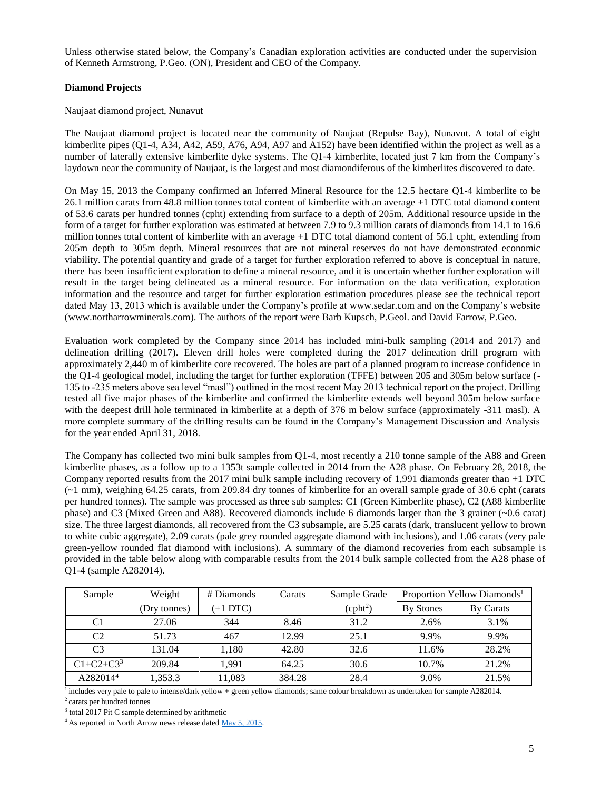Unless otherwise stated below, the Company's Canadian exploration activities are conducted under the supervision of Kenneth Armstrong, P.Geo. (ON), President and CEO of the Company.

# **Diamond Projects**

### Naujaat diamond project, Nunavut

The Naujaat diamond project is located near the community of Naujaat (Repulse Bay), Nunavut. A total of eight kimberlite pipes (Q1-4, A34, A42, A59, A76, A94, A97 and A152) have been identified within the project as well as a number of laterally extensive kimberlite dyke systems. The Q1-4 kimberlite, located just 7 km from the Company's laydown near the community of Naujaat, is the largest and most diamondiferous of the kimberlites discovered to date.

On May 15, 2013 the Company confirmed an Inferred Mineral Resource for the 12.5 hectare Q1-4 kimberlite to be 26.1 million carats from 48.8 million tonnes total content of kimberlite with an average +1 DTC total diamond content of 53.6 carats per hundred tonnes (cpht) extending from surface to a depth of 205m. Additional resource upside in the form of a target for further exploration was estimated at between 7.9 to 9.3 million carats of diamonds from 14.1 to 16.6 million tonnes total content of kimberlite with an average +1 DTC total diamond content of 56.1 cpht, extending from 205m depth to 305m depth. Mineral resources that are not mineral reserves do not have demonstrated economic viability. The potential quantity and grade of a target for further exploration referred to above is conceptual in nature, there has been insufficient exploration to define a mineral resource, and it is uncertain whether further exploration will result in the target being delineated as a mineral resource. For information on the data verification, exploration information and the resource and target for further exploration estimation procedures please see the technical report dated May 13, 2013 which is available under the Company's profile at [www.sedar.com](http://www.sedar.com/) and on the Company's website [\(www.northarrowminerals.com\)](http://www.northarrowminerals.com/). The authors of the report were Barb Kupsch, P.Geol. and David Farrow, P.Geo.

Evaluation work completed by the Company since 2014 has included mini-bulk sampling (2014 and 2017) and delineation drilling (2017). Eleven drill holes were completed during the 2017 delineation drill program with approximately 2,440 m of kimberlite core recovered. The holes are part of a planned program to increase confidence in the Q1-4 geological model, including the target for further exploration (TFFE) between 205 and 305m below surface (- 135 to -235 meters above sea level "masl") outlined in the most recent May 2013 technical report on the project. Drilling tested all five major phases of the kimberlite and confirmed the kimberlite extends well beyond 305m below surface with the deepest drill hole terminated in kimberlite at a depth of 376 m below surface (approximately -311 masl). A more complete summary of the drilling results can be found in the Company's Management Discussion and Analysis for the year ended April 31, 2018.

The Company has collected two mini bulk samples from Q1-4, most recently a 210 tonne sample of the A88 and Green kimberlite phases, as a follow up to a 1353t sample collected in 2014 from the A28 phase. On February 28, 2018, the Company reported results from the 2017 mini bulk sample including recovery of 1,991 diamonds greater than +1 DTC (~1 mm), weighing 64.25 carats, from 209.84 dry tonnes of kimberlite for an overall sample grade of 30.6 cpht (carats per hundred tonnes). The sample was processed as three sub samples: C1 (Green Kimberlite phase), C2 (A88 kimberlite phase) and C3 (Mixed Green and A88). Recovered diamonds include 6 diamonds larger than the 3 grainer (~0.6 carat) size. The three largest diamonds, all recovered from the C3 subsample, are 5.25 carats (dark, translucent yellow to brown to white cubic aggregate), 2.09 carats (pale grey rounded aggregate diamond with inclusions), and 1.06 carats (very pale green-yellow rounded flat diamond with inclusions). A summary of the diamond recoveries from each subsample is provided in the table below along with comparable results from the 2014 bulk sample collected from the A28 phase of Q1-4 (sample A282014).

| Sample               | Weight       | # Diamonds | Carats | Sample Grade         |                  | Proportion Yellow Diamonds <sup>1</sup> |
|----------------------|--------------|------------|--------|----------------------|------------------|-----------------------------------------|
|                      | (Dry tonnes) | $(+1$ DTC) |        | (cpht <sup>2</sup> ) | <b>By Stones</b> | By Carats                               |
| C1                   | 27.06        | 344        | 8.46   | 31.2                 | 2.6%             | 3.1%                                    |
| C <sub>2</sub>       | 51.73        | 467        | 12.99  | 25.1                 | 9.9%             | 9.9%                                    |
| C <sub>3</sub>       | 131.04       | 1.180      | 42.80  | 32.6                 | 11.6%            | 28.2%                                   |
| $C1 + C2 + C3^3$     | 209.84       | 1.991      | 64.25  | 30.6                 | 10.7%            | 21.2%                                   |
| A282014 <sup>4</sup> | 1,353.3      | 11.083     | 384.28 | 28.4                 | 9.0%             | 21.5%                                   |

 $\frac{1}{1}$  includes very pale to pale to intense/dark yellow + green yellow diamonds; same colour breakdown as undertaken for sample A282014.

<sup>2</sup>carats per hundred tonnes

<sup>3</sup> total 2017 Pit C sample determined by arithmetic

<sup>4</sup> As reported in North Arrow news release dated [May 5, 2015.](http://www.northarrowminerals.com/news/press_releases/2015/index.php?content_id=178)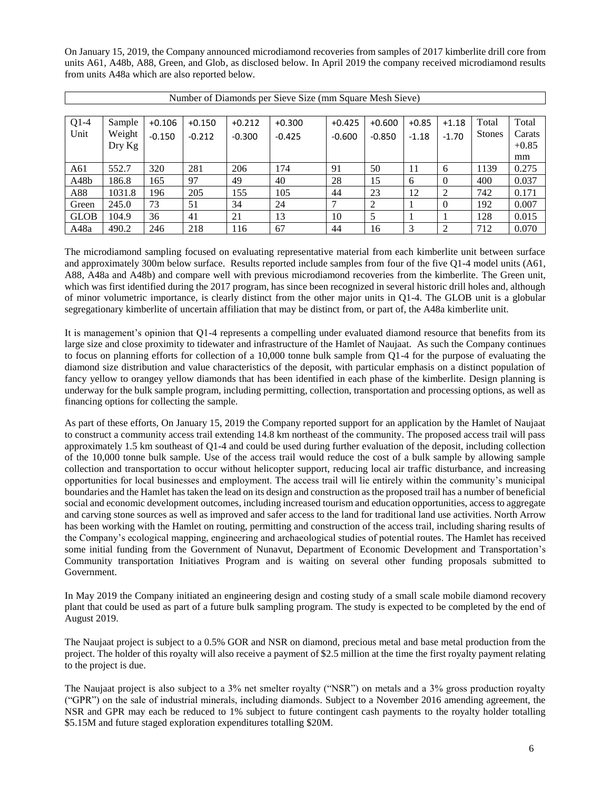On January 15, 2019, the Company announced microdiamond recoveries from samples of 2017 kimberlite drill core from units A61, A48b, A88, Green, and Glob, as disclosed below. In April 2019 the company received microdiamond results from units A48a which are also reported below.

|             | Number of Diamonds per Sieve Size (mm Square Mesh Sieve) |          |          |          |          |          |          |         |                |        |         |
|-------------|----------------------------------------------------------|----------|----------|----------|----------|----------|----------|---------|----------------|--------|---------|
|             |                                                          |          |          |          |          |          |          |         |                |        |         |
| $Q1-4$      | Sample                                                   | $+0.106$ | $+0.150$ | $+0.212$ | $+0.300$ | $+0.425$ | $+0.600$ | $+0.85$ | $+1.18$        | Total  | Total   |
| Unit        | Weight                                                   | $-0.150$ | $-0.212$ | $-0.300$ | $-0.425$ | $-0.600$ | $-0.850$ | $-1.18$ | $-1.70$        | Stones | Carats  |
|             | $_{\rm{Dry\,Kg}}$                                        |          |          |          |          |          |          |         |                |        | $+0.85$ |
|             |                                                          |          |          |          |          |          |          |         |                |        | mm      |
| A61         | 552.7                                                    | 320      | 281      | 206      | 174      | 91       | 50       | 11      | 6              | 1139   | 0.275   |
| A48b        | 186.8                                                    | 165      | 97       | 49       | 40       | 28       | 15       | 6       | $\theta$       | 400    | 0.037   |
| A88         | 1031.8                                                   | 196      | 205      | 155      | 105      | 44       | 23       | 12      | 2              | 742    | 0.171   |
| Green       | 245.0                                                    | 73       | 51       | 34       | 24       | ⇁        | 2        |         | $\theta$       | 192    | 0.007   |
| <b>GLOB</b> | 104.9                                                    | 36       | 41       | 21       | 13       | 10       | 5        |         |                | 128    | 0.015   |
| A48a        | 490.2                                                    | 246      | 218      | 116      | 67       | 44       | 16       | 3       | $\mathfrak{D}$ | 712    | 0.070   |

The microdiamond sampling focused on evaluating representative material from each kimberlite unit between surface and approximately 300m below surface. Results reported include samples from four of the five Q1-4 model units (A61, A88, A48a and A48b) and compare well with previous microdiamond recoveries from the kimberlite. The Green unit, which was first identified during the 2017 program, has since been recognized in several historic drill holes and, although of minor volumetric importance, is clearly distinct from the other major units in Q1-4. The GLOB unit is a globular segregationary kimberlite of uncertain affiliation that may be distinct from, or part of, the A48a kimberlite unit.

It is management's opinion that Q1-4 represents a compelling under evaluated diamond resource that benefits from its large size and close proximity to tidewater and infrastructure of the Hamlet of Naujaat. As such the Company continues to focus on planning efforts for collection of a 10,000 tonne bulk sample from Q1-4 for the purpose of evaluating the diamond size distribution and value characteristics of the deposit, with particular emphasis on a distinct population of fancy yellow to orangey yellow diamonds that has been identified in each phase of the kimberlite. Design planning is underway for the bulk sample program, including permitting, collection, transportation and processing options, as well as financing options for collecting the sample.

As part of these efforts, On January 15, 2019 the Company reported support for an application by the Hamlet of Naujaat to construct a community access trail extending 14.8 km northeast of the community. The proposed access trail will pass approximately 1.5 km southeast of Q1-4 and could be used during further evaluation of the deposit, including collection of the 10,000 tonne bulk sample. Use of the access trail would reduce the cost of a bulk sample by allowing sample collection and transportation to occur without helicopter support, reducing local air traffic disturbance, and increasing opportunities for local businesses and employment. The access trail will lie entirely within the community's municipal boundaries and the Hamlet has taken the lead on its design and construction as the proposed trail has a number of beneficial social and economic development outcomes, including increased tourism and education opportunities, access to aggregate and carving stone sources as well as improved and safer access to the land for traditional land use activities. North Arrow has been working with the Hamlet on routing, permitting and construction of the access trail, including sharing results of the Company's ecological mapping, engineering and archaeological studies of potential routes. The Hamlet has received some initial funding from the Government of Nunavut, Department of Economic Development and Transportation's Community transportation Initiatives Program and is waiting on several other funding proposals submitted to Government.

In May 2019 the Company initiated an engineering design and costing study of a small scale mobile diamond recovery plant that could be used as part of a future bulk sampling program. The study is expected to be completed by the end of August 2019.

The Naujaat project is subject to a 0.5% GOR and NSR on diamond, precious metal and base metal production from the project. The holder of this royalty will also receive a payment of \$2.5 million at the time the first royalty payment relating to the project is due.

The Naujaat project is also subject to a 3% net smelter royalty ("NSR") on metals and a 3% gross production royalty ("GPR") on the sale of industrial minerals, including diamonds. Subject to a November 2016 amending agreement, the NSR and GPR may each be reduced to 1% subject to future contingent cash payments to the royalty holder totalling \$5.15M and future staged exploration expenditures totalling \$20M.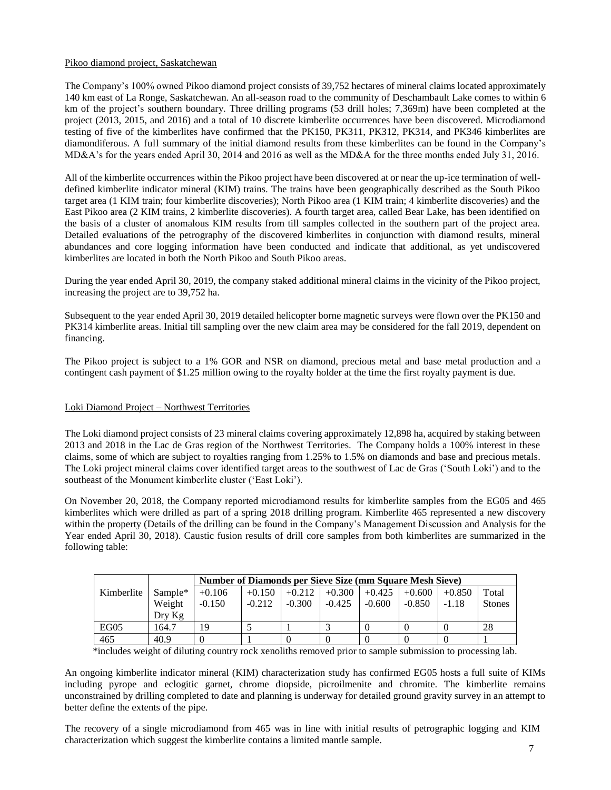# Pikoo diamond project, Saskatchewan

The Company's 100% owned Pikoo diamond project consists of 39,752 hectares of mineral claims located approximately 140 km east of La Ronge, Saskatchewan. An all-season road to the community of Deschambault Lake comes to within 6 km of the project's southern boundary. Three drilling programs (53 drill holes; 7,369m) have been completed at the project (2013, 2015, and 2016) and a total of 10 discrete kimberlite occurrences have been discovered. Microdiamond testing of five of the kimberlites have confirmed that the PK150, PK311, PK312, PK314, and PK346 kimberlites are diamondiferous. A full summary of the initial diamond results from these kimberlites can be found in the Company's MD&A's for the years ended April 30, 2014 and 2016 as well as the MD&A for the three months ended July 31, 2016.

All of the kimberlite occurrences within the Pikoo project have been discovered at or near the up-ice termination of welldefined kimberlite indicator mineral (KIM) trains. The trains have been geographically described as the South Pikoo target area (1 KIM train; four kimberlite discoveries); North Pikoo area (1 KIM train; 4 kimberlite discoveries) and the East Pikoo area (2 KIM trains, 2 kimberlite discoveries). A fourth target area, called Bear Lake, has been identified on the basis of a cluster of anomalous KIM results from till samples collected in the southern part of the project area. Detailed evaluations of the petrography of the discovered kimberlites in conjunction with diamond results, mineral abundances and core logging information have been conducted and indicate that additional, as yet undiscovered kimberlites are located in both the North Pikoo and South Pikoo areas.

During the year ended April 30, 2019, the company staked additional mineral claims in the vicinity of the Pikoo project, increasing the project are to 39,752 ha.

Subsequent to the year ended April 30, 2019 detailed helicopter borne magnetic surveys were flown over the PK150 and PK314 kimberlite areas. Initial till sampling over the new claim area may be considered for the fall 2019, dependent on financing.

The Pikoo project is subject to a 1% GOR and NSR on diamond, precious metal and base metal production and a contingent cash payment of \$1.25 million owing to the royalty holder at the time the first royalty payment is due.

# Loki Diamond Project – Northwest Territories

The Loki diamond project consists of 23 mineral claims covering approximately 12,898 ha, acquired by staking between 2013 and 2018 in the Lac de Gras region of the Northwest Territories. The Company holds a 100% interest in these claims, some of which are subject to royalties ranging from 1.25% to 1.5% on diamonds and base and precious metals. The Loki project mineral claims cover identified target areas to the southwest of Lac de Gras ('South Loki') and to the southeast of the Monument kimberlite cluster ('East Loki').

On November 20, 2018, the Company reported microdiamond results for kimberlite samples from the EG05 and 465 kimberlites which were drilled as part of a spring 2018 drilling program. Kimberlite 465 represented a new discovery within the property (Details of the drilling can be found in the Company's Management Discussion and Analysis for the Year ended April 30, 2018). Caustic fusion results of drill core samples from both kimberlites are summarized in the following table:

|            |          |          | Number of Diamonds per Sieve Size (mm Square Mesh Sieve) |          |          |          |          |          |               |
|------------|----------|----------|----------------------------------------------------------|----------|----------|----------|----------|----------|---------------|
| Kimberlite | Sample*  | $+0.106$ | $+0.150$                                                 | $+0.212$ | $+0.300$ | $+0.425$ | $+0.600$ | $+0.850$ | Total         |
|            | Weight   | $-0.150$ | $-0.212$                                                 | $-0.300$ | $-0.425$ | $-0.600$ | $-0.850$ | $-1.18$  | <b>Stones</b> |
|            | $Drv$ Kg |          |                                                          |          |          |          |          |          |               |
| EG05       | 164.7    | 19       |                                                          |          |          |          |          |          | 28            |
| 465        | 40.9     |          |                                                          |          |          |          |          |          |               |

\*includes weight of diluting country rock xenoliths removed prior to sample submission to processing lab.

An ongoing kimberlite indicator mineral (KIM) characterization study has confirmed EG05 hosts a full suite of KIMs including pyrope and eclogitic garnet, chrome diopside, picroilmenite and chromite. The kimberlite remains unconstrained by drilling completed to date and planning is underway for detailed ground gravity survey in an attempt to better define the extents of the pipe.

The recovery of a single microdiamond from 465 was in line with initial results of petrographic logging and KIM characterization which suggest the kimberlite contains a limited mantle sample.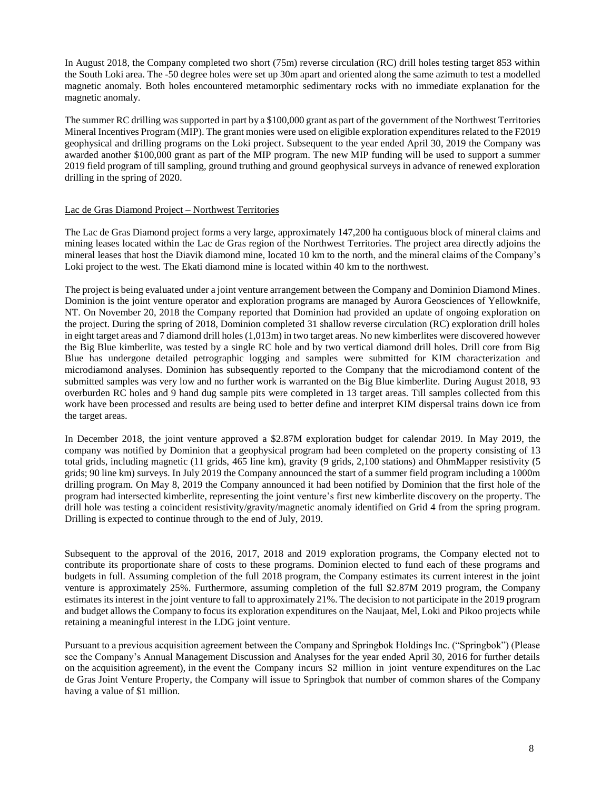In August 2018, the Company completed two short (75m) reverse circulation (RC) drill holes testing target 853 within the South Loki area. The -50 degree holes were set up 30m apart and oriented along the same azimuth to test a modelled magnetic anomaly. Both holes encountered metamorphic sedimentary rocks with no immediate explanation for the magnetic anomaly.

The summer RC drilling was supported in part by a \$100,000 grant as part of the government of the Northwest Territories Mineral Incentives Program (MIP). The grant monies were used on eligible exploration expenditures related to the F2019 geophysical and drilling programs on the Loki project. Subsequent to the year ended April 30, 2019 the Company was awarded another \$100,000 grant as part of the MIP program. The new MIP funding will be used to support a summer 2019 field program of till sampling, ground truthing and ground geophysical surveys in advance of renewed exploration drilling in the spring of 2020.

### Lac de Gras Diamond Project – Northwest Territories

The Lac de Gras Diamond project forms a very large, approximately 147,200 ha contiguous block of mineral claims and mining leases located within the Lac de Gras region of the Northwest Territories. The project area directly adjoins the mineral leases that host the Diavik diamond mine, located 10 km to the north, and the mineral claims of the Company's Loki project to the west. The Ekati diamond mine is located within 40 km to the northwest.

The project is being evaluated under a joint venture arrangement between the Company and Dominion Diamond Mines. Dominion is the joint venture operator and exploration programs are managed by Aurora Geosciences of Yellowknife, NT. On November 20, 2018 the Company reported that Dominion had provided an update of ongoing exploration on the project. During the spring of 2018, Dominion completed 31 shallow reverse circulation (RC) exploration drill holes in eight target areas and 7 diamond drill holes (1,013m) in two target areas. No new kimberlites were discovered however the Big Blue kimberlite, was tested by a single RC hole and by two vertical diamond drill holes. Drill core from Big Blue has undergone detailed petrographic logging and samples were submitted for KIM characterization and microdiamond analyses. Dominion has subsequently reported to the Company that the microdiamond content of the submitted samples was very low and no further work is warranted on the Big Blue kimberlite. During August 2018, 93 overburden RC holes and 9 hand dug sample pits were completed in 13 target areas. Till samples collected from this work have been processed and results are being used to better define and interpret KIM dispersal trains down ice from the target areas.

In December 2018, the joint venture approved a \$2.87M exploration budget for calendar 2019. In May 2019, the company was notified by Dominion that a geophysical program had been completed on the property consisting of 13 total grids, including magnetic (11 grids, 465 line km), gravity (9 grids, 2,100 stations) and OhmMapper resistivity (5 grids; 90 line km) surveys. In July 2019 the Company announced the start of a summer field program including a 1000m drilling program. On May 8, 2019 the Company announced it had been notified by Dominion that the first hole of the program had intersected kimberlite, representing the joint venture's first new kimberlite discovery on the property. The drill hole was testing a coincident resistivity/gravity/magnetic anomaly identified on Grid 4 from the spring program. Drilling is expected to continue through to the end of July, 2019.

Subsequent to the approval of the 2016, 2017, 2018 and 2019 exploration programs, the Company elected not to contribute its proportionate share of costs to these programs. Dominion elected to fund each of these programs and budgets in full. Assuming completion of the full 2018 program, the Company estimates its current interest in the joint venture is approximately 25%. Furthermore, assuming completion of the full \$2.87M 2019 program, the Company estimates its interest in the joint venture to fall to approximately 21%. The decision to not participate in the 2019 program and budget allows the Company to focus its exploration expenditures on the Naujaat, Mel, Loki and Pikoo projects while retaining a meaningful interest in the LDG joint venture.

Pursuant to a previous acquisition agreement between the Company and Springbok Holdings Inc. ("Springbok") (Please see the Company's Annual Management Discussion and Analyses for the year ended April 30, 2016 for further details on the acquisition agreement), in the event the Company incurs \$2 million in joint venture expenditures on the Lac de Gras Joint Venture Property, the Company will issue to Springbok that number of common shares of the Company having a value of \$1 million.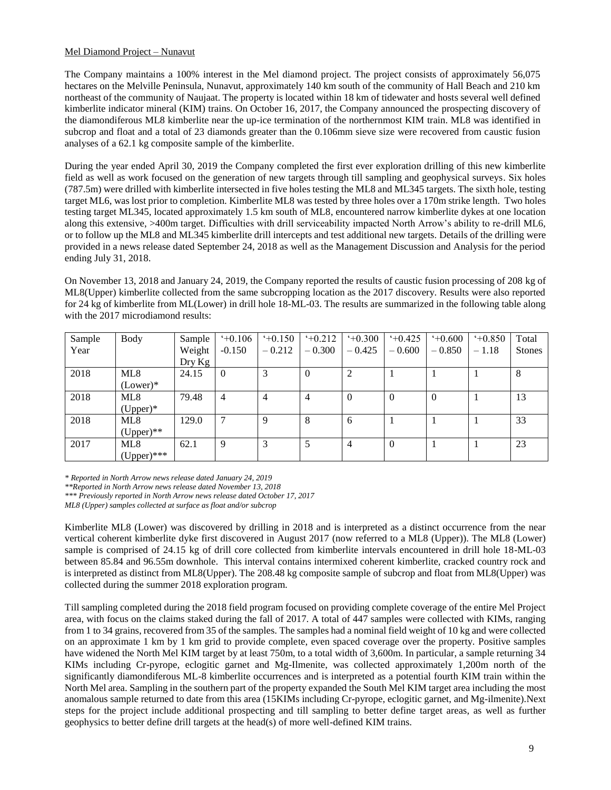# Mel Diamond Project – Nunavut

The Company maintains a 100% interest in the Mel diamond project. The project consists of approximately 56,075 hectares on the Melville Peninsula, Nunavut, approximately 140 km south of the community of Hall Beach and 210 km northeast of the community of Naujaat. The property is located within 18 km of tidewater and hosts several well defined kimberlite indicator mineral (KIM) trains. On October 16, 2017, the Company announced the prospecting discovery of the diamondiferous ML8 kimberlite near the up-ice termination of the northernmost KIM train. ML8 was identified in subcrop and float and a total of 23 diamonds greater than the 0.106mm sieve size were recovered from caustic fusion analyses of a 62.1 kg composite sample of the kimberlite.

During the year ended April 30, 2019 the Company completed the first ever exploration drilling of this new kimberlite field as well as work focused on the generation of new targets through till sampling and geophysical surveys. Six holes (787.5m) were drilled with kimberlite intersected in five holes testing the ML8 and ML345 targets. The sixth hole, testing target ML6, was lost prior to completion. Kimberlite ML8 was tested by three holes over a 170m strike length. Two holes testing target ML345, located approximately 1.5 km south of ML8, encountered narrow kimberlite dykes at one location along this extensive, >400m target. Difficulties with drill serviceability impacted North Arrow's ability to re-drill ML6, or to follow up the ML8 and ML345 kimberlite drill intercepts and test additional new targets. Details of the drilling were provided in a news release dated September 24, 2018 as well as the Management Discussion and Analysis for the period ending July 31, 2018.

On November 13, 2018 and January 24, 2019, the Company reported the results of caustic fusion processing of 208 kg of ML8(Upper) kimberlite collected from the same subcropping location as the 2017 discovery. Results were also reported for 24 kg of kimberlite from ML(Lower) in drill hole 18-ML-03. The results are summarized in the following table along with the 2017 microdiamond results:

| Sample | <b>Body</b>   | Sample                      | $+0.106$       | $+0.150$<br>$-0.212$ | 40.212   | $+0.300$<br>$-0.425$ | $+0.425$<br>$-0.600$ | $+0.600$<br>$-0.850$ | $+0.850$<br>$-1.18$ | Total         |
|--------|---------------|-----------------------------|----------------|----------------------|----------|----------------------|----------------------|----------------------|---------------------|---------------|
| Year   |               | Weight<br>$_{\rm{Dry\,Kg}}$ | $-0.150$       |                      | $-0.300$ |                      |                      |                      |                     | <b>Stones</b> |
| 2018   | ML8           | 24.15                       | $\overline{0}$ |                      | $\theta$ | 2                    |                      |                      |                     | 8             |
|        | $(Lower)*$    |                             |                |                      |          |                      |                      |                      |                     |               |
| 2018   | ML8           | 79.48                       | $\overline{4}$ | 4                    | 4        | $\overline{0}$       | $\theta$             | $\Omega$             |                     | 13            |
|        | $(Upper)*$    |                             |                |                      |          |                      |                      |                      |                     |               |
| 2018   | ML8           | 129.0                       | 7              | Q                    | 8        | -6                   |                      |                      |                     | 33            |
|        | $(Upper)$ **  |                             |                |                      |          |                      |                      |                      |                     |               |
| 2017   | ML8           | 62.1                        | 9              | 3                    | 5        | $\overline{4}$       | $\overline{0}$       |                      |                     | 23            |
|        | $(Upper)$ *** |                             |                |                      |          |                      |                      |                      |                     |               |

*\* Reported in North Arrow news release dated January 24, 2019*

*\*\*Reported in North Arrow news release dated November 13, 2018*

*\*\*\* Previously reported in North Arrow news release dated October 17, 2017*

*ML8 (Upper) samples collected at surface as float and/or subcrop*

Kimberlite ML8 (Lower) was discovered by drilling in 2018 and is interpreted as a distinct occurrence from the near vertical coherent kimberlite dyke first discovered in August 2017 (now referred to a ML8 (Upper)). The ML8 (Lower) sample is comprised of 24.15 kg of drill core collected from kimberlite intervals encountered in drill hole 18-ML-03 between 85.84 and 96.55m downhole. This interval contains intermixed coherent kimberlite, cracked country rock and is interpreted as distinct from ML8(Upper). The 208.48 kg composite sample of subcrop and float from ML8(Upper) was collected during the summer 2018 exploration program.

Till sampling completed during the 2018 field program focused on providing complete coverage of the entire Mel Project area, with focus on the claims staked during the fall of 2017. A total of 447 samples were collected with KIMs, ranging from 1 to 34 grains, recovered from 35 of the samples. The samples had a nominal field weight of 10 kg and were collected on an approximate 1 km by 1 km grid to provide complete, even spaced coverage over the property. Positive samples have widened the North Mel KIM target by at least 750m, to a total width of 3,600m. In particular, a sample returning 34 KIMs including Cr-pyrope, eclogitic garnet and Mg-Ilmenite, was collected approximately 1,200m north of the significantly diamondiferous ML-8 kimberlite occurrences and is interpreted as a potential fourth KIM train within the North Mel area. Sampling in the southern part of the property expanded the South Mel KIM target area including the most anomalous sample returned to date from this area (15KIMs including Cr-pyrope, eclogitic garnet, and Mg-ilmenite).Next steps for the project include additional prospecting and till sampling to better define target areas, as well as further geophysics to better define drill targets at the head(s) of more well-defined KIM trains.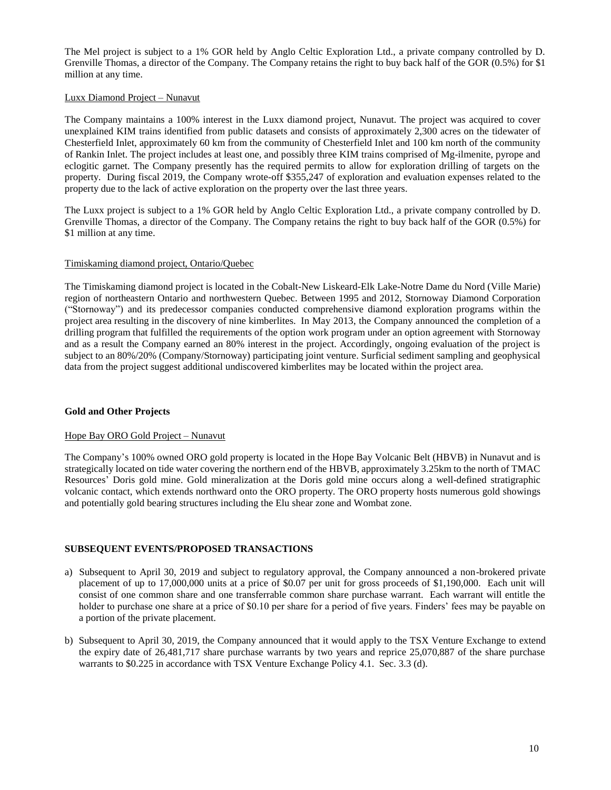The Mel project is subject to a 1% GOR held by Anglo Celtic Exploration Ltd., a private company controlled by D. Grenville Thomas, a director of the Company. The Company retains the right to buy back half of the GOR (0.5%) for \$1 million at any time.

### Luxx Diamond Project – Nunavut

The Company maintains a 100% interest in the Luxx diamond project, Nunavut. The project was acquired to cover unexplained KIM trains identified from public datasets and consists of approximately 2,300 acres on the tidewater of Chesterfield Inlet, approximately 60 km from the community of Chesterfield Inlet and 100 km north of the community of Rankin Inlet. The project includes at least one, and possibly three KIM trains comprised of Mg-ilmenite, pyrope and eclogitic garnet. The Company presently has the required permits to allow for exploration drilling of targets on the property. During fiscal 2019, the Company wrote-off \$355,247 of exploration and evaluation expenses related to the property due to the lack of active exploration on the property over the last three years.

The Luxx project is subject to a 1% GOR held by Anglo Celtic Exploration Ltd., a private company controlled by D. Grenville Thomas, a director of the Company. The Company retains the right to buy back half of the GOR (0.5%) for \$1 million at any time.

### Timiskaming diamond project, Ontario/Quebec

The Timiskaming diamond project is located in the Cobalt-New Liskeard-Elk Lake-Notre Dame du Nord (Ville Marie) region of northeastern Ontario and northwestern Quebec. Between 1995 and 2012, Stornoway Diamond Corporation ("Stornoway") and its predecessor companies conducted comprehensive diamond exploration programs within the project area resulting in the discovery of nine kimberlites. In May 2013, the Company announced the completion of a drilling program that fulfilled the requirements of the option work program under an option agreement with Stornoway and as a result the Company earned an 80% interest in the project. Accordingly, ongoing evaluation of the project is subject to an 80%/20% (Company/Stornoway) participating joint venture. Surficial sediment sampling and geophysical data from the project suggest additional undiscovered kimberlites may be located within the project area.

# **Gold and Other Projects**

#### Hope Bay ORO Gold Project – Nunavut

The Company's 100% owned ORO gold property is located in the Hope Bay Volcanic Belt (HBVB) in Nunavut and is strategically located on tide water covering the northern end of the HBVB, approximately 3.25km to the north of TMAC Resources' Doris gold mine. Gold mineralization at the Doris gold mine occurs along a well-defined stratigraphic volcanic contact, which extends northward onto the ORO property. The ORO property hosts numerous gold showings and potentially gold bearing structures including the Elu shear zone and Wombat zone.

# **SUBSEQUENT EVENTS/PROPOSED TRANSACTIONS**

- a) Subsequent to April 30, 2019 and subject to regulatory approval, the Company announced a non-brokered private placement of up to 17,000,000 units at a price of \$0.07 per unit for gross proceeds of \$1,190,000. Each unit will consist of one common share and one transferrable common share purchase warrant. Each warrant will entitle the holder to purchase one share at a price of \$0.10 per share for a period of five years. Finders' fees may be payable on a portion of the private placement.
- b) Subsequent to April 30, 2019, the Company announced that it would apply to the TSX Venture Exchange to extend the expiry date of 26,481,717 share purchase warrants by two years and reprice 25,070,887 of the share purchase warrants to \$0.225 in accordance with TSX Venture Exchange Policy 4.1. Sec. 3.3 (d).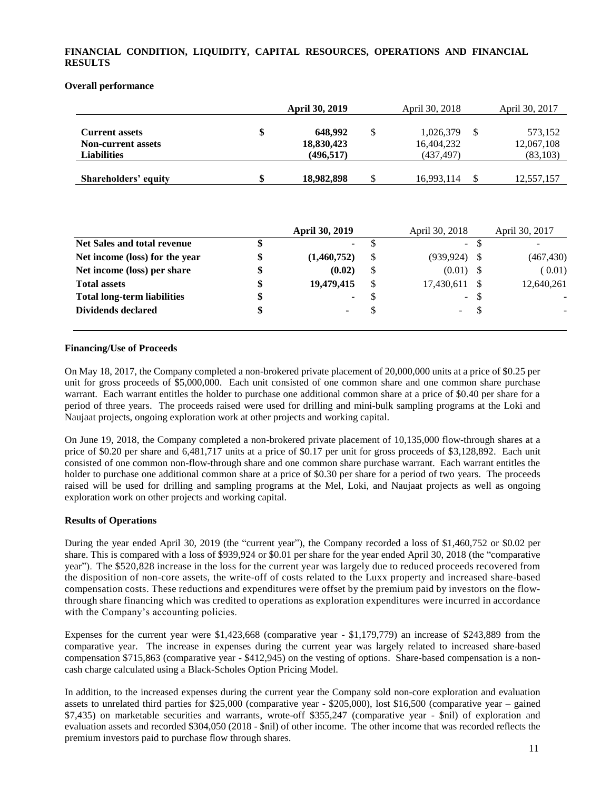# **FINANCIAL CONDITION, LIQUIDITY, CAPITAL RESOURCES, OPERATIONS AND FINANCIAL RESULTS**

#### **Overall performance**

|                                                                          | <b>April 30, 2019</b>                     |    | April 30, 2018                       | April 30, 2017                     |
|--------------------------------------------------------------------------|-------------------------------------------|----|--------------------------------------|------------------------------------|
| <b>Current assets</b><br><b>Non-current assets</b><br><b>Liabilities</b> | \$<br>648.992<br>18,830,423<br>(496, 517) | \$ | 1,026,379<br>16,404,232<br>(437,497) | 573,152<br>12,067,108<br>(83, 103) |
| Shareholders' equity                                                     | \$<br>18,982,898                          | S  | 16,993,114                           | 12,557,157                         |

|                                    | <b>April 30, 2019</b> |    | April 30, 2018      |      | April 30, 2017 |
|------------------------------------|-----------------------|----|---------------------|------|----------------|
| <b>Net Sales and total revenue</b> | \$<br>۰.              |    | $\omega_{\rm{eff}}$ |      |                |
| Net income (loss) for the year     | \$<br>(1,460,752)     | -S | (939, 924)          |      | (467, 430)     |
| Net income (loss) per share        | \$<br>(0.02)          | S  | (0.01)              |      | (0.01)         |
| <b>Total assets</b>                | \$<br>19,479,415      |    | 17,430,611          |      | 12,640,261     |
| <b>Total long-term liabilities</b> | \$<br>۰.              | -S |                     | - \$ | ٠              |
| <b>Dividends declared</b>          | \$<br>۰               |    | -                   |      |                |
|                                    |                       |    |                     |      |                |

### **Financing/Use of Proceeds**

On May 18, 2017, the Company completed a non-brokered private placement of 20,000,000 units at a price of \$0.25 per unit for gross proceeds of \$5,000,000. Each unit consisted of one common share and one common share purchase warrant. Each warrant entitles the holder to purchase one additional common share at a price of \$0.40 per share for a period of three years. The proceeds raised were used for drilling and mini-bulk sampling programs at the Loki and Naujaat projects, ongoing exploration work at other projects and working capital.

On June 19, 2018, the Company completed a non-brokered private placement of 10,135,000 flow-through shares at a price of \$0.20 per share and 6,481,717 units at a price of \$0.17 per unit for gross proceeds of \$3,128,892. Each unit consisted of one common non-flow-through share and one common share purchase warrant. Each warrant entitles the holder to purchase one additional common share at a price of \$0.30 per share for a period of two years. The proceeds raised will be used for drilling and sampling programs at the Mel, Loki, and Naujaat projects as well as ongoing exploration work on other projects and working capital.

#### **Results of Operations**

During the year ended April 30, 2019 (the "current year"), the Company recorded a loss of \$1,460,752 or \$0.02 per share. This is compared with a loss of \$939,924 or \$0.01 per share for the year ended April 30, 2018 (the "comparative year"). The \$520,828 increase in the loss for the current year was largely due to reduced proceeds recovered from the disposition of non-core assets, the write-off of costs related to the Luxx property and increased share-based compensation costs. These reductions and expenditures were offset by the premium paid by investors on the flowthrough share financing which was credited to operations as exploration expenditures were incurred in accordance with the Company's accounting policies.

Expenses for the current year were \$1,423,668 (comparative year - \$1,179,779) an increase of \$243,889 from the comparative year. The increase in expenses during the current year was largely related to increased share-based compensation \$715,863 (comparative year - \$412,945) on the vesting of options. Share-based compensation is a noncash charge calculated using a Black-Scholes Option Pricing Model.

In addition, to the increased expenses during the current year the Company sold non-core exploration and evaluation assets to unrelated third parties for \$25,000 (comparative year - \$205,000), lost \$16,500 (comparative year – gained \$7,435) on marketable securities and warrants, wrote-off \$355,247 (comparative year - \$nil) of exploration and evaluation assets and recorded \$304,050 (2018 - \$nil) of other income. The other income that was recorded reflects the premium investors paid to purchase flow through shares.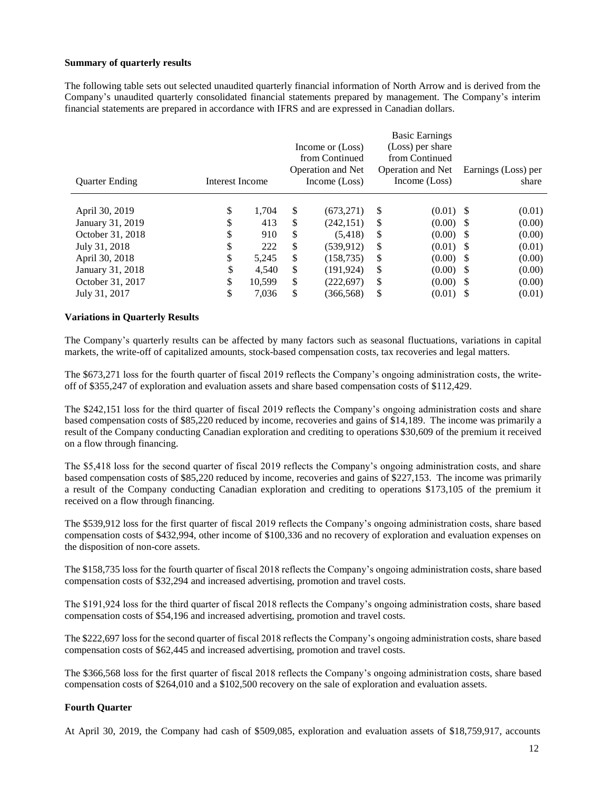### **Summary of quarterly results**

The following table sets out selected unaudited quarterly financial information of North Arrow and is derived from the Company's unaudited quarterly consolidated financial statements prepared by management. The Company's interim financial statements are prepared in accordance with IFRS and are expressed in Canadian dollars.

| <b>Quarter Ending</b> | Interest Income |        | Income or (Loss)<br>from Continued<br><b>Operation and Net</b><br>Income (Loss) |               | <b>Basic Earnings</b><br>(Loss) per share<br>from Continued<br><b>Operation and Net</b><br>Income (Loss) | Earnings (Loss) per<br>share |
|-----------------------|-----------------|--------|---------------------------------------------------------------------------------|---------------|----------------------------------------------------------------------------------------------------------|------------------------------|
| April 30, 2019        | \$              | 1.704  | \$<br>(673, 271)                                                                | <sup>\$</sup> | $(0.01)$ \$                                                                                              | (0.01)                       |
| January 31, 2019      | \$              | 413    | \$<br>(242, 151)                                                                | <sup>\$</sup> | $(0.00)$ \$                                                                                              | (0.00)                       |
| October 31, 2018      | \$              | 910    | \$<br>(5,418)                                                                   | \$            | $(0.00)$ \$                                                                                              | (0.00)                       |
| July 31, 2018         | \$              | 222    | \$<br>(539, 912)                                                                | S             | $(0.01)$ \$                                                                                              | (0.01)                       |
| April 30, 2018        | \$              | 5,245  | \$<br>(158, 735)                                                                | \$            | $(0.00)$ \$                                                                                              | (0.00)                       |
| January 31, 2018      | \$              | 4.540  | \$<br>(191, 924)                                                                | \$            | $(0.00)$ \$                                                                                              | (0.00)                       |
| October 31, 2017      | \$              | 10.599 | \$<br>(222, 697)                                                                | <sup>\$</sup> | $(0.00)$ \$                                                                                              | (0.00)                       |
| July 31, 2017         | \$              | 7,036  | \$<br>(366, 568)                                                                | \$            | $(0.01)$ \$                                                                                              | (0.01)                       |

### **Variations in Quarterly Results**

The Company's quarterly results can be affected by many factors such as seasonal fluctuations, variations in capital markets, the write-off of capitalized amounts, stock-based compensation costs, tax recoveries and legal matters.

The \$673,271 loss for the fourth quarter of fiscal 2019 reflects the Company's ongoing administration costs, the writeoff of \$355,247 of exploration and evaluation assets and share based compensation costs of \$112,429.

The \$242,151 loss for the third quarter of fiscal 2019 reflects the Company's ongoing administration costs and share based compensation costs of \$85,220 reduced by income, recoveries and gains of \$14,189. The income was primarily a result of the Company conducting Canadian exploration and crediting to operations \$30,609 of the premium it received on a flow through financing.

The \$5,418 loss for the second quarter of fiscal 2019 reflects the Company's ongoing administration costs, and share based compensation costs of \$85,220 reduced by income, recoveries and gains of \$227,153. The income was primarily a result of the Company conducting Canadian exploration and crediting to operations \$173,105 of the premium it received on a flow through financing.

The \$539,912 loss for the first quarter of fiscal 2019 reflects the Company's ongoing administration costs, share based compensation costs of \$432,994, other income of \$100,336 and no recovery of exploration and evaluation expenses on the disposition of non-core assets.

The \$158,735 loss for the fourth quarter of fiscal 2018 reflects the Company's ongoing administration costs, share based compensation costs of \$32,294 and increased advertising, promotion and travel costs.

The \$191,924 loss for the third quarter of fiscal 2018 reflects the Company's ongoing administration costs, share based compensation costs of \$54,196 and increased advertising, promotion and travel costs.

The \$222,697 loss for the second quarter of fiscal 2018 reflects the Company's ongoing administration costs, share based compensation costs of \$62,445 and increased advertising, promotion and travel costs.

The \$366,568 loss for the first quarter of fiscal 2018 reflects the Company's ongoing administration costs, share based compensation costs of \$264,010 and a \$102,500 recovery on the sale of exploration and evaluation assets.

#### **Fourth Quarter**

At April 30, 2019, the Company had cash of \$509,085, exploration and evaluation assets of \$18,759,917, accounts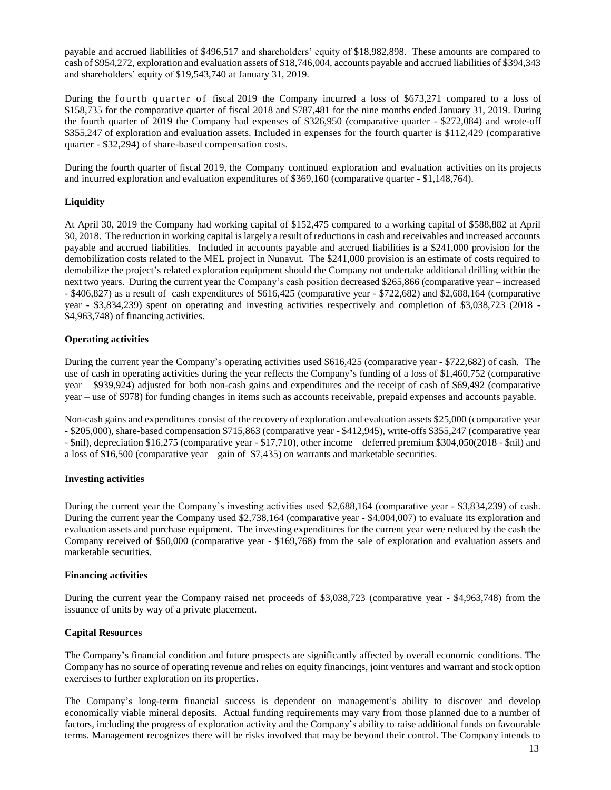payable and accrued liabilities of \$496,517 and shareholders' equity of \$18,982,898. These amounts are compared to cash of \$954,272, exploration and evaluation assets of \$18,746,004, accounts payable and accrued liabilities of \$394,343 and shareholders' equity of \$19,543,740 at January 31, 2019.

During the fourth quarter of fiscal 2019 the Company incurred a loss of \$673,271 compared to a loss of \$158,735 for the comparative quarter of fiscal 2018 and \$787,481 for the nine months ended January 31, 2019. During the fourth quarter of 2019 the Company had expenses of \$326,950 (comparative quarter - \$272,084) and wrote-off \$355,247 of exploration and evaluation assets. Included in expenses for the fourth quarter is \$112,429 (comparative quarter - \$32,294) of share-based compensation costs.

During the fourth quarter of fiscal 2019, the Company continued exploration and evaluation activities on its projects and incurred exploration and evaluation expenditures of \$369,160 (comparative quarter - \$1,148,764).

# **Liquidity**

At April 30, 2019 the Company had working capital of \$152,475 compared to a working capital of \$588,882 at April 30, 2018. The reduction in working capital is largely a result of reductions in cash and receivables and increased accounts payable and accrued liabilities. Included in accounts payable and accrued liabilities is a \$241,000 provision for the demobilization costs related to the MEL project in Nunavut. The \$241,000 provision is an estimate of costs required to demobilize the project's related exploration equipment should the Company not undertake additional drilling within the next two years. During the current year the Company's cash position decreased \$265,866 (comparative year – increased - \$406,827) as a result of cash expenditures of \$616,425 (comparative year - \$722,682) and \$2,688,164 (comparative year - \$3,834,239) spent on operating and investing activities respectively and completion of \$3,038,723 (2018 - \$4,963,748) of financing activities.

# **Operating activities**

During the current year the Company's operating activities used \$616,425 (comparative year - \$722,682) of cash. The use of cash in operating activities during the year reflects the Company's funding of a loss of \$1,460,752 (comparative year – \$939,924) adjusted for both non-cash gains and expenditures and the receipt of cash of \$69,492 (comparative year – use of \$978) for funding changes in items such as accounts receivable, prepaid expenses and accounts payable.

Non-cash gains and expenditures consist of the recovery of exploration and evaluation assets \$25,000 (comparative year - \$205,000), share-based compensation \$715,863 (comparative year - \$412,945), write-offs \$355,247 (comparative year - \$nil), depreciation \$16,275 (comparative year - \$17,710), other income – deferred premium \$304,050(2018 - \$nil) and a loss of \$16,500 (comparative year – gain of \$7,435) on warrants and marketable securities.

# **Investing activities**

During the current year the Company's investing activities used \$2,688,164 (comparative year - \$3,834,239) of cash. During the current year the Company used \$2,738,164 (comparative year - \$4,004,007) to evaluate its exploration and evaluation assets and purchase equipment. The investing expenditures for the current year were reduced by the cash the Company received of \$50,000 (comparative year - \$169,768) from the sale of exploration and evaluation assets and marketable securities.

#### **Financing activities**

During the current year the Company raised net proceeds of \$3,038,723 (comparative year - \$4,963,748) from the issuance of units by way of a private placement.

# **Capital Resources**

The Company's financial condition and future prospects are significantly affected by overall economic conditions. The Company has no source of operating revenue and relies on equity financings, joint ventures and warrant and stock option exercises to further exploration on its properties.

The Company's long-term financial success is dependent on management's ability to discover and develop economically viable mineral deposits. Actual funding requirements may vary from those planned due to a number of factors, including the progress of exploration activity and the Company's ability to raise additional funds on favourable terms. Management recognizes there will be risks involved that may be beyond their control. The Company intends to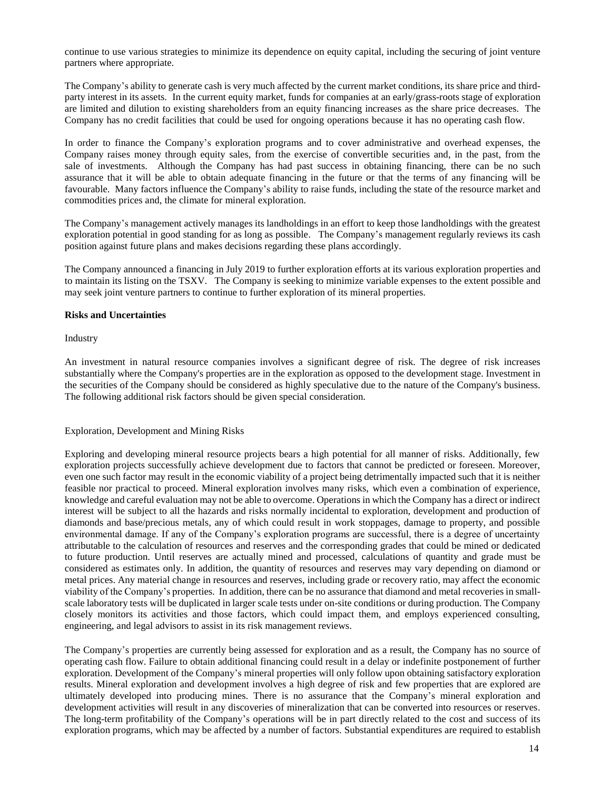continue to use various strategies to minimize its dependence on equity capital, including the securing of joint venture partners where appropriate.

The Company's ability to generate cash is very much affected by the current market conditions, its share price and thirdparty interest in its assets. In the current equity market, funds for companies at an early/grass-roots stage of exploration are limited and dilution to existing shareholders from an equity financing increases as the share price decreases. The Company has no credit facilities that could be used for ongoing operations because it has no operating cash flow.

In order to finance the Company's exploration programs and to cover administrative and overhead expenses, the Company raises money through equity sales, from the exercise of convertible securities and, in the past, from the sale of investments. Although the Company has had past success in obtaining financing, there can be no such assurance that it will be able to obtain adequate financing in the future or that the terms of any financing will be favourable. Many factors influence the Company's ability to raise funds, including the state of the resource market and commodities prices and, the climate for mineral exploration.

The Company's management actively manages its landholdings in an effort to keep those landholdings with the greatest exploration potential in good standing for as long as possible. The Company's management regularly reviews its cash position against future plans and makes decisions regarding these plans accordingly.

The Company announced a financing in July 2019 to further exploration efforts at its various exploration properties and to maintain its listing on the TSXV. The Company is seeking to minimize variable expenses to the extent possible and may seek joint venture partners to continue to further exploration of its mineral properties.

### **Risks and Uncertainties**

Industry

An investment in natural resource companies involves a significant degree of risk. The degree of risk increases substantially where the Company's properties are in the exploration as opposed to the development stage. Investment in the securities of the Company should be considered as highly speculative due to the nature of the Company's business. The following additional risk factors should be given special consideration.

#### Exploration, Development and Mining Risks

Exploring and developing mineral resource projects bears a high potential for all manner of risks. Additionally, few exploration projects successfully achieve development due to factors that cannot be predicted or foreseen. Moreover, even one such factor may result in the economic viability of a project being detrimentally impacted such that it is neither feasible nor practical to proceed. Mineral exploration involves many risks, which even a combination of experience, knowledge and careful evaluation may not be able to overcome. Operations in which the Company has a direct or indirect interest will be subject to all the hazards and risks normally incidental to exploration, development and production of diamonds and base/precious metals, any of which could result in work stoppages, damage to property, and possible environmental damage. If any of the Company's exploration programs are successful, there is a degree of uncertainty attributable to the calculation of resources and reserves and the corresponding grades that could be mined or dedicated to future production. Until reserves are actually mined and processed, calculations of quantity and grade must be considered as estimates only. In addition, the quantity of resources and reserves may vary depending on diamond or metal prices. Any material change in resources and reserves, including grade or recovery ratio, may affect the economic viability of the Company's properties. In addition, there can be no assurance that diamond and metal recoveries in smallscale laboratory tests will be duplicated in larger scale tests under on-site conditions or during production. The Company closely monitors its activities and those factors, which could impact them, and employs experienced consulting, engineering, and legal advisors to assist in its risk management reviews.

The Company's properties are currently being assessed for exploration and as a result, the Company has no source of operating cash flow. Failure to obtain additional financing could result in a delay or indefinite postponement of further exploration. Development of the Company's mineral properties will only follow upon obtaining satisfactory exploration results. Mineral exploration and development involves a high degree of risk and few properties that are explored are ultimately developed into producing mines. There is no assurance that the Company's mineral exploration and development activities will result in any discoveries of mineralization that can be converted into resources or reserves. The long-term profitability of the Company's operations will be in part directly related to the cost and success of its exploration programs, which may be affected by a number of factors. Substantial expenditures are required to establish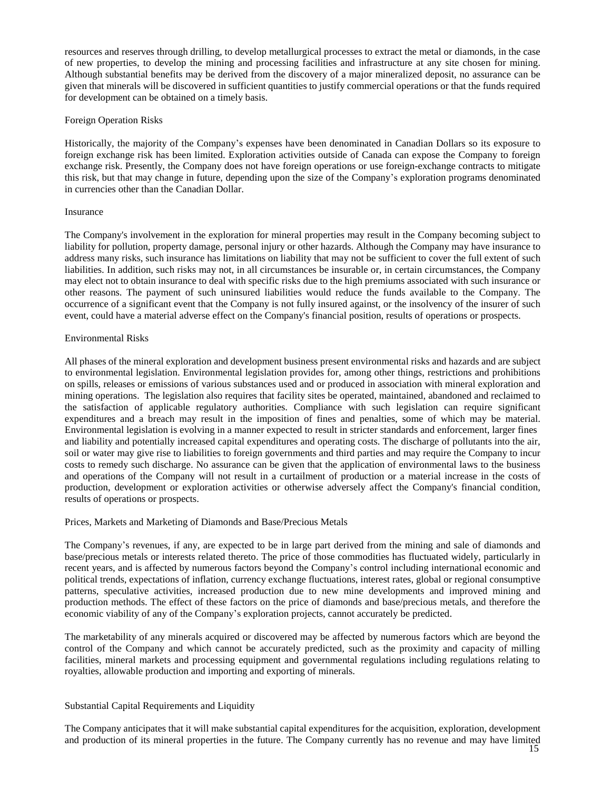resources and reserves through drilling, to develop metallurgical processes to extract the metal or diamonds, in the case of new properties, to develop the mining and processing facilities and infrastructure at any site chosen for mining. Although substantial benefits may be derived from the discovery of a major mineralized deposit, no assurance can be given that minerals will be discovered in sufficient quantities to justify commercial operations or that the funds required for development can be obtained on a timely basis.

#### Foreign Operation Risks

Historically, the majority of the Company's expenses have been denominated in Canadian Dollars so its exposure to foreign exchange risk has been limited. Exploration activities outside of Canada can expose the Company to foreign exchange risk. Presently, the Company does not have foreign operations or use foreign-exchange contracts to mitigate this risk, but that may change in future, depending upon the size of the Company's exploration programs denominated in currencies other than the Canadian Dollar.

### Insurance

The Company's involvement in the exploration for mineral properties may result in the Company becoming subject to liability for pollution, property damage, personal injury or other hazards. Although the Company may have insurance to address many risks, such insurance has limitations on liability that may not be sufficient to cover the full extent of such liabilities. In addition, such risks may not, in all circumstances be insurable or, in certain circumstances, the Company may elect not to obtain insurance to deal with specific risks due to the high premiums associated with such insurance or other reasons. The payment of such uninsured liabilities would reduce the funds available to the Company. The occurrence of a significant event that the Company is not fully insured against, or the insolvency of the insurer of such event, could have a material adverse effect on the Company's financial position, results of operations or prospects.

### Environmental Risks

All phases of the mineral exploration and development business present environmental risks and hazards and are subject to environmental legislation. Environmental legislation provides for, among other things, restrictions and prohibitions on spills, releases or emissions of various substances used and or produced in association with mineral exploration and mining operations. The legislation also requires that facility sites be operated, maintained, abandoned and reclaimed to the satisfaction of applicable regulatory authorities. Compliance with such legislation can require significant expenditures and a breach may result in the imposition of fines and penalties, some of which may be material. Environmental legislation is evolving in a manner expected to result in stricter standards and enforcement, larger fines and liability and potentially increased capital expenditures and operating costs. The discharge of pollutants into the air, soil or water may give rise to liabilities to foreign governments and third parties and may require the Company to incur costs to remedy such discharge. No assurance can be given that the application of environmental laws to the business and operations of the Company will not result in a curtailment of production or a material increase in the costs of production, development or exploration activities or otherwise adversely affect the Company's financial condition, results of operations or prospects.

#### Prices, Markets and Marketing of Diamonds and Base/Precious Metals

The Company's revenues, if any, are expected to be in large part derived from the mining and sale of diamonds and base/precious metals or interests related thereto. The price of those commodities has fluctuated widely, particularly in recent years, and is affected by numerous factors beyond the Company's control including international economic and political trends, expectations of inflation, currency exchange fluctuations, interest rates, global or regional consumptive patterns, speculative activities, increased production due to new mine developments and improved mining and production methods. The effect of these factors on the price of diamonds and base/precious metals, and therefore the economic viability of any of the Company's exploration projects, cannot accurately be predicted.

The marketability of any minerals acquired or discovered may be affected by numerous factors which are beyond the control of the Company and which cannot be accurately predicted, such as the proximity and capacity of milling facilities, mineral markets and processing equipment and governmental regulations including regulations relating to royalties, allowable production and importing and exporting of minerals.

# Substantial Capital Requirements and Liquidity

The Company anticipates that it will make substantial capital expenditures for the acquisition, exploration, development and production of its mineral properties in the future. The Company currently has no revenue and may have limited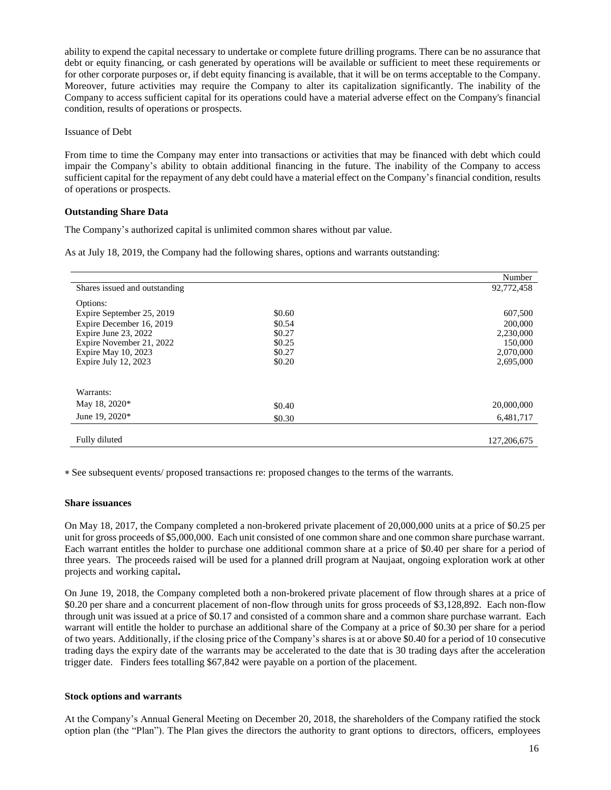ability to expend the capital necessary to undertake or complete future drilling programs. There can be no assurance that debt or equity financing, or cash generated by operations will be available or sufficient to meet these requirements or for other corporate purposes or, if debt equity financing is available, that it will be on terms acceptable to the Company. Moreover, future activities may require the Company to alter its capitalization significantly. The inability of the Company to access sufficient capital for its operations could have a material adverse effect on the Company's financial condition, results of operations or prospects.

#### Issuance of Debt

From time to time the Company may enter into transactions or activities that may be financed with debt which could impair the Company's ability to obtain additional financing in the future. The inability of the Company to access sufficient capital for the repayment of any debt could have a material effect on the Company's financial condition, results of operations or prospects.

### **Outstanding Share Data**

The Company's authorized capital is unlimited common shares without par value.

As at July 18, 2019, the Company had the following shares, options and warrants outstanding:

|                               |        | Number        |
|-------------------------------|--------|---------------|
| Shares issued and outstanding |        | 92,772,458    |
| Options:                      |        |               |
| Expire September 25, 2019     | \$0.60 | 607,500       |
| Expire December 16, 2019      | \$0.54 | 200,000       |
| Expire June 23, 2022          | \$0.27 | 2,230,000     |
| Expire November 21, 2022      | \$0.25 | 150,000       |
| Expire May 10, 2023           | \$0.27 | 2,070,000     |
| Expire July 12, 2023          | \$0.20 | 2,695,000     |
|                               |        |               |
| Warrants:                     |        |               |
| May 18, 2020*                 | \$0.40 | 20,000,000    |
| June 19, 2020*                | \$0.30 | 6,481,717     |
|                               |        |               |
| Fully diluted                 |        | 127, 206, 675 |

See subsequent events/ proposed transactions re: proposed changes to the terms of the warrants.

#### **Share issuances**

On May 18, 2017, the Company completed a non-brokered private placement of 20,000,000 units at a price of \$0.25 per unit for gross proceeds of \$5,000,000. Each unit consisted of one common share and one common share purchase warrant. Each warrant entitles the holder to purchase one additional common share at a price of \$0.40 per share for a period of three years. The proceeds raised will be used for a planned drill program at Naujaat, ongoing exploration work at other projects and working capital**.**

On June 19, 2018, the Company completed both a non-brokered private placement of flow through shares at a price of \$0.20 per share and a concurrent placement of non-flow through units for gross proceeds of \$3,128,892. Each non-flow through unit was issued at a price of \$0.17 and consisted of a common share and a common share purchase warrant. Each warrant will entitle the holder to purchase an additional share of the Company at a price of \$0.30 per share for a period of two years. Additionally, if the closing price of the Company's shares is at or above \$0.40 for a period of 10 consecutive trading days the expiry date of the warrants may be accelerated to the date that is 30 trading days after the acceleration trigger date. Finders fees totalling \$67,842 were payable on a portion of the placement.

#### **Stock options and warrants**

At the Company's Annual General Meeting on December 20, 2018, the shareholders of the Company ratified the stock option plan (the "Plan"). The Plan gives the directors the authority to grant options to directors, officers, employees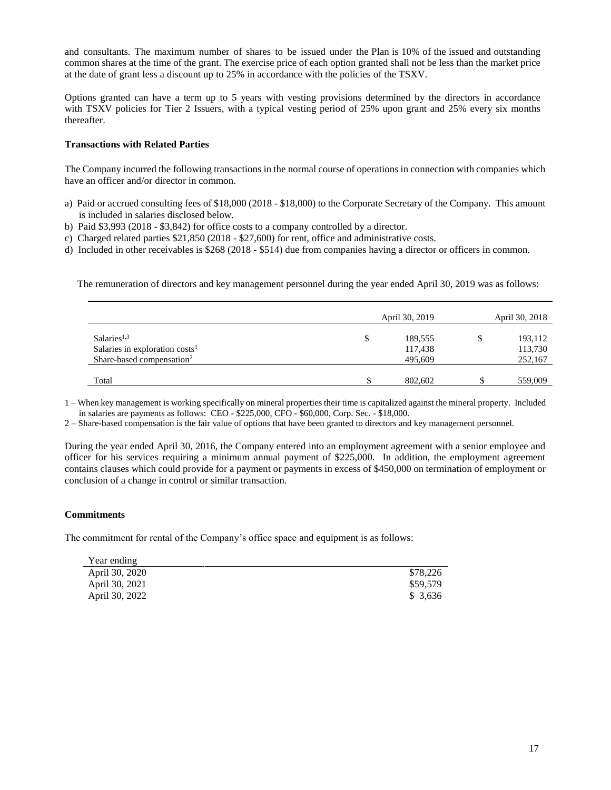and consultants. The maximum number of shares to be issued under the Plan is 10% of the issued and outstanding common shares at the time of the grant. The exercise price of each option granted shall not be less than the market price at the date of grant less a discount up to 25% in accordance with the policies of the TSXV.

Options granted can have a term up to 5 years with vesting provisions determined by the directors in accordance with TSXV policies for Tier 2 Issuers, with a typical vesting period of 25% upon grant and 25% every six months thereafter.

# **Transactions with Related Parties**

The Company incurred the following transactions in the normal course of operations in connection with companies which have an officer and/or director in common.

- a) Paid or accrued consulting fees of \$18,000 (2018 \$18,000) to the Corporate Secretary of the Company. This amount is included in salaries disclosed below.
- b) Paid \$3,993 (2018 \$3,842) for office costs to a company controlled by a director.
- c) Charged related parties \$21,850 (2018 \$27,600) for rent, office and administrative costs.
- d) Included in other receivables is \$268 (2018 \$514) due from companies having a director or officers in common.

The remuneration of directors and key management personnel during the year ended April 30, 2019 was as follows:

|                                                                                                      | April 30, 2019                | April 30, 2018                      |
|------------------------------------------------------------------------------------------------------|-------------------------------|-------------------------------------|
| Salaries <sup>1,3</sup><br>Salaries in exploration $costs1$<br>Share-based compensation <sup>2</sup> | 189,555<br>117,438<br>495,609 | \$<br>193,112<br>113,730<br>252,167 |
| Total                                                                                                | 802,602                       | 559,009                             |

1 – When key management is working specifically on mineral properties their time is capitalized against the mineral property. Included in salaries are payments as follows: CEO - \$225,000, CFO - \$60,000, Corp. Sec. - \$18,000.

2 – Share-based compensation is the fair value of options that have been granted to directors and key management personnel.

During the year ended April 30, 2016, the Company entered into an employment agreement with a senior employee and officer for his services requiring a minimum annual payment of \$225,000. In addition, the employment agreement contains clauses which could provide for a payment or payments in excess of \$450,000 on termination of employment or conclusion of a change in control or similar transaction.

# **Commitments**

The commitment for rental of the Company's office space and equipment is as follows:

| Year ending    |          |
|----------------|----------|
| April 30, 2020 | \$78,226 |
| April 30, 2021 | \$59,579 |
| April 30, 2022 | \$3.636  |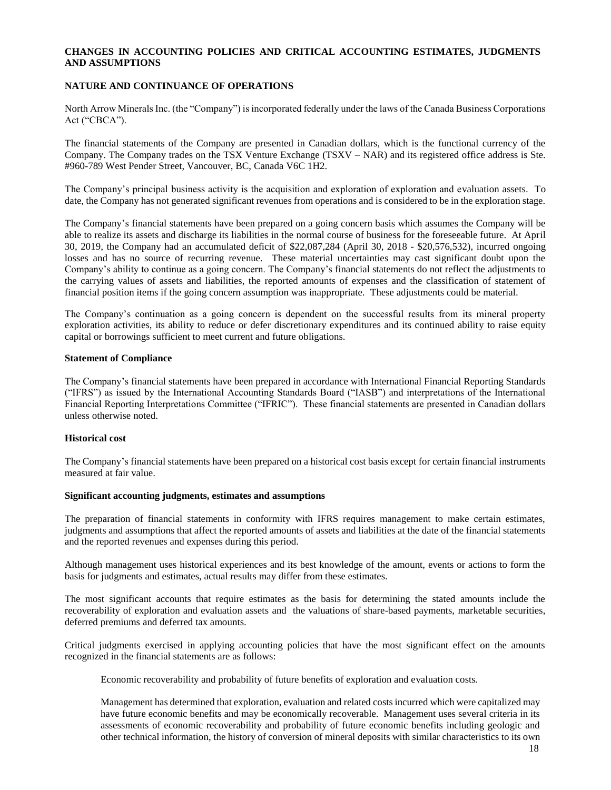# **CHANGES IN ACCOUNTING POLICIES AND CRITICAL ACCOUNTING ESTIMATES, JUDGMENTS AND ASSUMPTIONS**

### **NATURE AND CONTINUANCE OF OPERATIONS**

North Arrow Minerals Inc. (the "Company") is incorporated federally under the laws of the Canada Business Corporations Act ("CBCA").

The financial statements of the Company are presented in Canadian dollars, which is the functional currency of the Company. The Company trades on the TSX Venture Exchange (TSXV – NAR) and its registered office address is Ste. #960-789 West Pender Street, Vancouver, BC, Canada V6C 1H2.

The Company's principal business activity is the acquisition and exploration of exploration and evaluation assets. To date, the Company has not generated significant revenues from operations and is considered to be in the exploration stage.

The Company's financial statements have been prepared on a going concern basis which assumes the Company will be able to realize its assets and discharge its liabilities in the normal course of business for the foreseeable future. At April 30, 2019, the Company had an accumulated deficit of \$22,087,284 (April 30, 2018 - \$20,576,532), incurred ongoing losses and has no source of recurring revenue. These material uncertainties may cast significant doubt upon the Company's ability to continue as a going concern. The Company's financial statements do not reflect the adjustments to the carrying values of assets and liabilities, the reported amounts of expenses and the classification of statement of financial position items if the going concern assumption was inappropriate. These adjustments could be material.

The Company's continuation as a going concern is dependent on the successful results from its mineral property exploration activities, its ability to reduce or defer discretionary expenditures and its continued ability to raise equity capital or borrowings sufficient to meet current and future obligations.

#### **Statement of Compliance**

The Company's financial statements have been prepared in accordance with International Financial Reporting Standards ("IFRS") as issued by the International Accounting Standards Board ("IASB") and interpretations of the International Financial Reporting Interpretations Committee ("IFRIC"). These financial statements are presented in Canadian dollars unless otherwise noted.

#### **Historical cost**

The Company's financial statements have been prepared on a historical cost basis except for certain financial instruments measured at fair value.

#### **Significant accounting judgments, estimates and assumptions**

The preparation of financial statements in conformity with IFRS requires management to make certain estimates, judgments and assumptions that affect the reported amounts of assets and liabilities at the date of the financial statements and the reported revenues and expenses during this period.

Although management uses historical experiences and its best knowledge of the amount, events or actions to form the basis for judgments and estimates, actual results may differ from these estimates.

The most significant accounts that require estimates as the basis for determining the stated amounts include the recoverability of exploration and evaluation assets and the valuations of share-based payments, marketable securities, deferred premiums and deferred tax amounts.

Critical judgments exercised in applying accounting policies that have the most significant effect on the amounts recognized in the financial statements are as follows:

Economic recoverability and probability of future benefits of exploration and evaluation costs*.* 

Management has determined that exploration, evaluation and related costs incurred which were capitalized may have future economic benefits and may be economically recoverable. Management uses several criteria in its assessments of economic recoverability and probability of future economic benefits including geologic and other technical information, the history of conversion of mineral deposits with similar characteristics to its own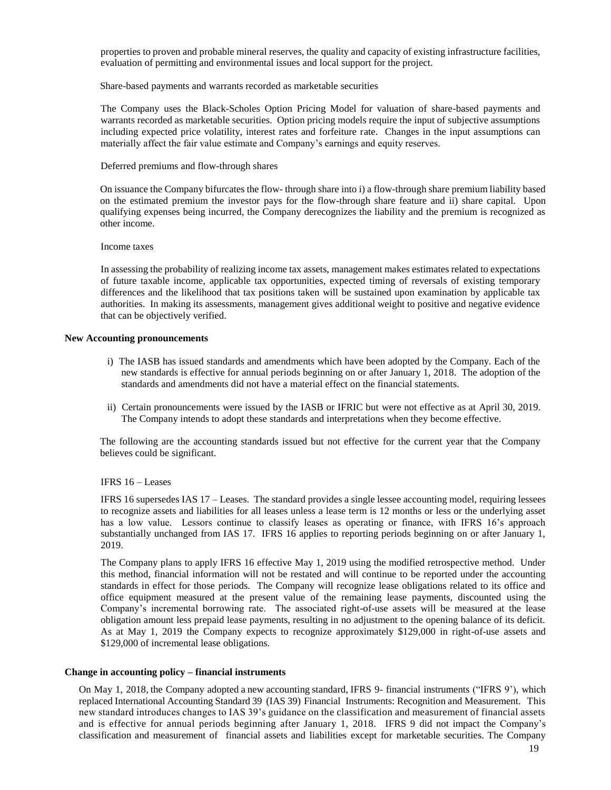properties to proven and probable mineral reserves, the quality and capacity of existing infrastructure facilities, evaluation of permitting and environmental issues and local support for the project.

Share-based payments and warrants recorded as marketable securities

The Company uses the Black-Scholes Option Pricing Model for valuation of share-based payments and warrants recorded as marketable securities. Option pricing models require the input of subjective assumptions including expected price volatility, interest rates and forfeiture rate. Changes in the input assumptions can materially affect the fair value estimate and Company's earnings and equity reserves.

#### Deferred premiums and flow-through shares

On issuance the Company bifurcates the flow- through share into i) a flow-through share premium liability based on the estimated premium the investor pays for the flow-through share feature and ii) share capital. Upon qualifying expenses being incurred, the Company derecognizes the liability and the premium is recognized as other income.

#### Income taxes

In assessing the probability of realizing income tax assets, management makes estimates related to expectations of future taxable income, applicable tax opportunities, expected timing of reversals of existing temporary differences and the likelihood that tax positions taken will be sustained upon examination by applicable tax authorities. In making its assessments, management gives additional weight to positive and negative evidence that can be objectively verified.

#### **New Accounting pronouncements**

- i) The IASB has issued standards and amendments which have been adopted by the Company. Each of the new standards is effective for annual periods beginning on or after January 1, 2018. The adoption of the standards and amendments did not have a material effect on the financial statements.
- ii) Certain pronouncements were issued by the IASB or IFRIC but were not effective as at April 30, 2019. The Company intends to adopt these standards and interpretations when they become effective.

The following are the accounting standards issued but not effective for the current year that the Company believes could be significant.

#### IFRS 16 – Leases

IFRS 16 supersedes IAS 17 – Leases. The standard provides a single lessee accounting model, requiring lessees to recognize assets and liabilities for all leases unless a lease term is 12 months or less or the underlying asset has a low value. Lessors continue to classify leases as operating or finance, with IFRS 16's approach substantially unchanged from IAS 17. IFRS 16 applies to reporting periods beginning on or after January 1, 2019.

The Company plans to apply IFRS 16 effective May 1, 2019 using the modified retrospective method. Under this method, financial information will not be restated and will continue to be reported under the accounting standards in effect for those periods. The Company will recognize lease obligations related to its office and office equipment measured at the present value of the remaining lease payments, discounted using the Company's incremental borrowing rate. The associated right-of-use assets will be measured at the lease obligation amount less prepaid lease payments, resulting in no adjustment to the opening balance of its deficit. As at May 1, 2019 the Company expects to recognize approximately \$129,000 in right-of-use assets and \$129,000 of incremental lease obligations.

#### **Change in accounting policy – financial instruments**

On May 1, 2018, the Company adopted a new accounting standard, IFRS 9- financial instruments ("IFRS 9'), which replaced International Accounting Standard 39 (IAS 39) Financial Instruments: Recognition and Measurement. This new standard introduces changes to IAS 39's guidance on the classification and measurement of financial assets and is effective for annual periods beginning after January 1, 2018. IFRS 9 did not impact the Company's classification and measurement of financial assets and liabilities except for marketable securities. The Company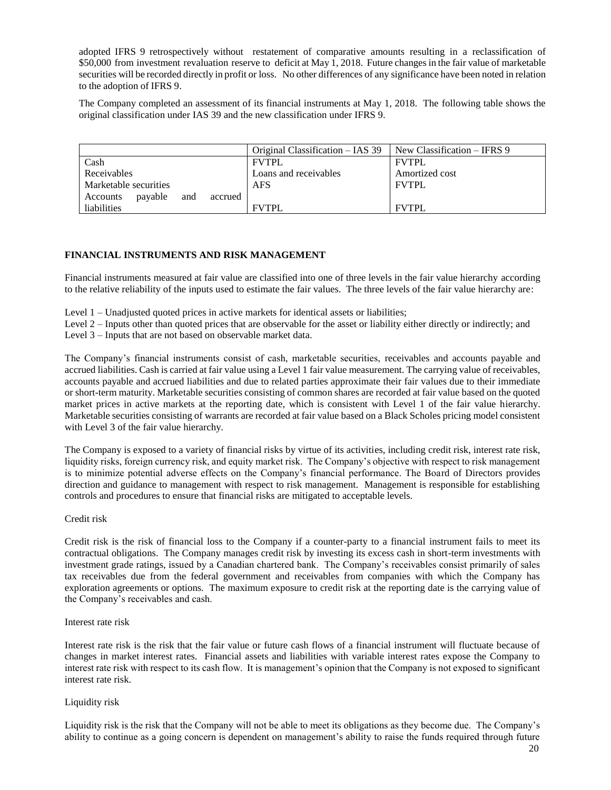adopted IFRS 9 retrospectively without restatement of comparative amounts resulting in a reclassification of \$50,000 from investment revaluation reserve to deficit at May 1, 2018. Future changes in the fair value of marketable securities will be recorded directly in profit or loss. No other differences of any significance have been noted in relation to the adoption of IFRS 9.

The Company completed an assessment of its financial instruments at May 1, 2018. The following table shows the original classification under IAS 39 and the new classification under IFRS 9.

|                                       | Original Classification – IAS 39 | New Classification – IFRS 9 |
|---------------------------------------|----------------------------------|-----------------------------|
| Cash                                  | <b>FVTPL</b>                     | <b>FVTPL</b>                |
| Receivables                           | Loans and receivables            | Amortized cost              |
| Marketable securities                 | <b>AFS</b>                       | <b>FVTPL</b>                |
| payable<br>and<br>Accounts<br>accrued |                                  |                             |
| liabilities                           | <b>FVTPL</b>                     | <b>FVTPL</b>                |

# **FINANCIAL INSTRUMENTS AND RISK MANAGEMENT**

Financial instruments measured at fair value are classified into one of three levels in the fair value hierarchy according to the relative reliability of the inputs used to estimate the fair values. The three levels of the fair value hierarchy are:

- Level 1 Unadjusted quoted prices in active markets for identical assets or liabilities;
- Level 2 Inputs other than quoted prices that are observable for the asset or liability either directly or indirectly; and
- Level 3 Inputs that are not based on observable market data.

The Company's financial instruments consist of cash, marketable securities, receivables and accounts payable and accrued liabilities. Cash is carried at fair value using a Level 1 fair value measurement. The carrying value of receivables, accounts payable and accrued liabilities and due to related parties approximate their fair values due to their immediate or short-term maturity. Marketable securities consisting of common shares are recorded at fair value based on the quoted market prices in active markets at the reporting date, which is consistent with Level 1 of the fair value hierarchy. Marketable securities consisting of warrants are recorded at fair value based on a Black Scholes pricing model consistent with Level 3 of the fair value hierarchy.

The Company is exposed to a variety of financial risks by virtue of its activities, including credit risk, interest rate risk, liquidity risks, foreign currency risk, and equity market risk. The Company's objective with respect to risk management is to minimize potential adverse effects on the Company's financial performance. The Board of Directors provides direction and guidance to management with respect to risk management. Management is responsible for establishing controls and procedures to ensure that financial risks are mitigated to acceptable levels.

#### Credit risk

Credit risk is the risk of financial loss to the Company if a counter-party to a financial instrument fails to meet its contractual obligations. The Company manages credit risk by investing its excess cash in short-term investments with investment grade ratings, issued by a Canadian chartered bank. The Company's receivables consist primarily of sales tax receivables due from the federal government and receivables from companies with which the Company has exploration agreements or options. The maximum exposure to credit risk at the reporting date is the carrying value of the Company's receivables and cash.

#### Interest rate risk

Interest rate risk is the risk that the fair value or future cash flows of a financial instrument will fluctuate because of changes in market interest rates. Financial assets and liabilities with variable interest rates expose the Company to interest rate risk with respect to its cash flow. It is management's opinion that the Company is not exposed to significant interest rate risk.

#### Liquidity risk

Liquidity risk is the risk that the Company will not be able to meet its obligations as they become due. The Company's ability to continue as a going concern is dependent on management's ability to raise the funds required through future